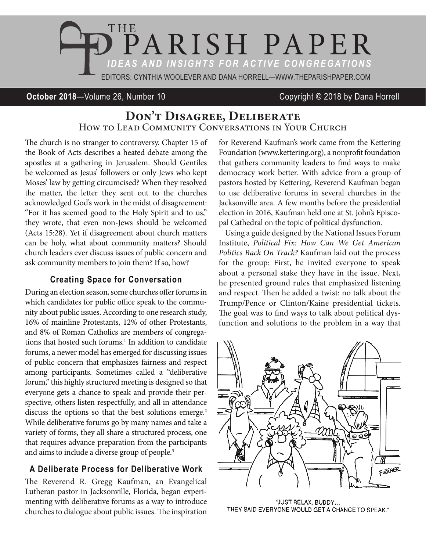

#### **October 2018**—Volume 26, Number 10 Copyright © 2018 by Dana Horrell

# **Don't Disagree, Deliberate** How to Lead Community Conversations in Your Church

The church is no stranger to controversy. Chapter 15 of the Book of Acts describes a heated debate among the apostles at a gathering in Jerusalem. Should Gentiles be welcomed as Jesus' followers or only Jews who kept Moses' law by getting circumcised? When they resolved the matter, the letter they sent out to the churches acknowledged God's work in the midst of disagreement: "For it has seemed good to the Holy Spirit and to us," they wrote, that even non-Jews should be welcomed (Acts 15:28). Yet if disagreement about church matters can be holy, what about community matters? Should church leaders ever discuss issues of public concern and ask community members to join them? If so, how?

#### **Creating Space for Conversation**

During an election season, some churches offer forums in which candidates for public office speak to the community about public issues. According to one research study, 16% of mainline Protestants, 12% of other Protestants, and 8% of Roman Catholics are members of congregations that hosted such forums.<sup>1</sup> In addition to candidate forums, a newer model has emerged for discussing issues of public concern that emphasizes fairness and respect among participants. Sometimes called a "deliberative forum," this highly structured meeting is designed so that everyone gets a chance to speak and provide their perspective, others listen respectfully, and all in attendance discuss the options so that the best solutions emerge.<sup>2</sup> While deliberative forums go by many names and take a variety of forms, they all share a structured process, one that requires advance preparation from the participants and aims to include a diverse group of people.<sup>3</sup>

#### **A Deliberate Process for Deliberative Work**

The Reverend R. Gregg Kaufman, an Evangelical Lutheran pastor in Jacksonville, Florida, began experimenting with deliberative forums as a way to introduce churches to dialogue about public issues. The inspiration for Reverend Kaufman's work came from the Kettering Foundation (www.kettering.org), a nonprofit foundation that gathers community leaders to find ways to make democracy work better. With advice from a group of pastors hosted by Kettering, Reverend Kaufman began to use deliberative forums in several churches in the Jacksonville area. A few months before the presidential election in 2016, Kaufman held one at St. John's Episcopal Cathedral on the topic of political dysfunction.

Using a guide designed by the National Issues Forum Institute, *Political Fix: How Can We Get American Politics Back On Track?* Kaufman laid out the process for the group: First, he invited everyone to speak about a personal stake they have in the issue. Next, he presented ground rules that emphasized listening and respect. Then he added a twist: no talk about the Trump/Pence or Clinton/Kaine presidential tickets. The goal was to find ways to talk about political dysfunction and solutions to the problem in a way that



"JUST RELAX, BUDDY... THEY SAID EVERYONE WOULD GET A CHANCE TO SPEAK."